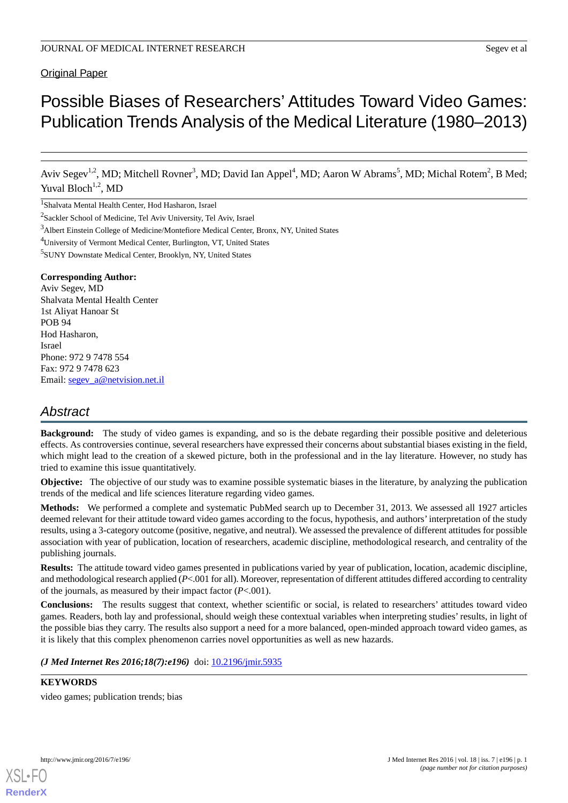# Original Paper

# Possible Biases of Researchers' Attitudes Toward Video Games: Publication Trends Analysis of the Medical Literature (1980–2013)

Aviv Segev<sup>1,2</sup>, MD; Mitchell Rovner<sup>3</sup>, MD; David Ian Appel<sup>4</sup>, MD; Aaron W Abrams<sup>5</sup>, MD; Michal Rotem<sup>2</sup>, B Med; Yuval Bloch<sup>1,2</sup>, MD

1 Shalvata Mental Health Center, Hod Hasharon, Israel

- <sup>4</sup>University of Vermont Medical Center, Burlington, VT, United States
- 5 SUNY Downstate Medical Center, Brooklyn, NY, United States

#### **Corresponding Author:**

Aviv Segev, MD Shalvata Mental Health Center 1st Aliyat Hanoar St POB 94 Hod Hasharon, Israel Phone: 972 9 7478 554 Fax: 972 9 7478 623 Email: [segev\\_a@netvision.net.il](mailto:segev_a@netvision.net.il)

# *Abstract*

**Background:** The study of video games is expanding, and so is the debate regarding their possible positive and deleterious effects. As controversies continue, several researchers have expressed their concerns about substantial biases existing in the field, which might lead to the creation of a skewed picture, both in the professional and in the lay literature. However, no study has tried to examine this issue quantitatively.

**Objective:** The objective of our study was to examine possible systematic biases in the literature, by analyzing the publication trends of the medical and life sciences literature regarding video games.

**Methods:** We performed a complete and systematic PubMed search up to December 31, 2013. We assessed all 1927 articles deemed relevant for their attitude toward video games according to the focus, hypothesis, and authors'interpretation of the study results, using a 3-category outcome (positive, negative, and neutral). We assessed the prevalence of different attitudes for possible association with year of publication, location of researchers, academic discipline, methodological research, and centrality of the publishing journals.

**Results:** The attitude toward video games presented in publications varied by year of publication, location, academic discipline, and methodological research applied (*P*<.001 for all). Moreover, representation of different attitudes differed according to centrality of the journals, as measured by their impact factor (*P*<.001).

**Conclusions:** The results suggest that context, whether scientific or social, is related to researchers' attitudes toward video games. Readers, both lay and professional, should weigh these contextual variables when interpreting studies' results, in light of the possible bias they carry. The results also support a need for a more balanced, open-minded approach toward video games, as it is likely that this complex phenomenon carries novel opportunities as well as new hazards.

(*J Med Internet Res 2016;18(7):e196*) doi: [10.2196/jmir.5935](http://dx.doi.org/10.2196/jmir.5935)

**KEYWORDS**

video games; publication trends; bias



<sup>2</sup> Sackler School of Medicine, Tel Aviv University, Tel Aviv, Israel

<sup>3</sup>Albert Einstein College of Medicine/Montefiore Medical Center, Bronx, NY, United States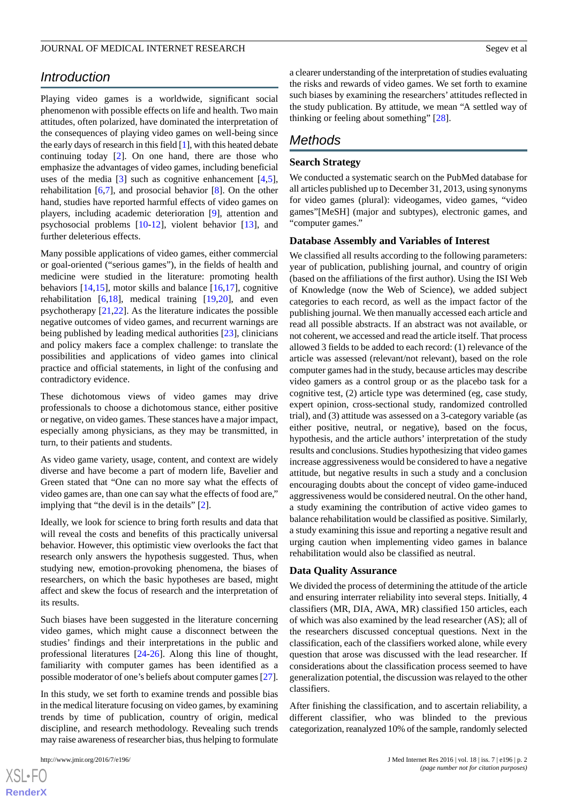# *Introduction*

Playing video games is a worldwide, significant social phenomenon with possible effects on life and health. Two main attitudes, often polarized, have dominated the interpretation of the consequences of playing video games on well-being since the early days of research in this field [[1\]](#page-7-0), with this heated debate continuing today [\[2](#page-7-1)]. On one hand, there are those who emphasize the advantages of video games, including beneficial uses of the media  $\lceil 3 \rceil$  such as cognitive enhancement  $\lceil 4, 5 \rceil$ , rehabilitation  $[6,7]$  $[6,7]$  $[6,7]$  $[6,7]$ , and prosocial behavior  $[8]$  $[8]$ . On the other hand, studies have reported harmful effects of video games on players, including academic deterioration [\[9](#page-7-8)], attention and psychosocial problems [\[10](#page-7-9)-[12\]](#page-7-10), violent behavior [\[13](#page-7-11)], and further deleterious effects.

Many possible applications of video games, either commercial or goal-oriented ("serious games"), in the fields of health and medicine were studied in the literature: promoting health behaviors  $[14,15]$  $[14,15]$  $[14,15]$ , motor skills and balance  $[16,17]$  $[16,17]$  $[16,17]$  $[16,17]$ , cognitive rehabilitation [\[6](#page-7-5),[18\]](#page-8-3), medical training [\[19](#page-8-4),[20\]](#page-8-5), and even psychotherapy [[21](#page-8-6)[,22](#page-8-7)]. As the literature indicates the possible negative outcomes of video games, and recurrent warnings are being published by leading medical authorities [\[23](#page-8-8)], clinicians and policy makers face a complex challenge: to translate the possibilities and applications of video games into clinical practice and official statements, in light of the confusing and contradictory evidence.

These dichotomous views of video games may drive professionals to choose a dichotomous stance, either positive or negative, on video games. These stances have a major impact, especially among physicians, as they may be transmitted, in turn, to their patients and students.

As video game variety, usage, content, and context are widely diverse and have become a part of modern life, Bavelier and Green stated that "One can no more say what the effects of video games are, than one can say what the effects of food are," implying that "the devil is in the details" [[2\]](#page-7-1).

Ideally, we look for science to bring forth results and data that will reveal the costs and benefits of this practically universal behavior. However, this optimistic view overlooks the fact that research only answers the hypothesis suggested. Thus, when studying new, emotion-provoking phenomena, the biases of researchers, on which the basic hypotheses are based, might affect and skew the focus of research and the interpretation of its results.

Such biases have been suggested in the literature concerning video games, which might cause a disconnect between the studies' findings and their interpretations in the public and professional literatures [[24](#page-8-9)[-26](#page-8-10)]. Along this line of thought, familiarity with computer games has been identified as a possible moderator of one's beliefs about computer games [[27\]](#page-8-11).

In this study, we set forth to examine trends and possible bias in the medical literature focusing on video games, by examining trends by time of publication, country of origin, medical discipline, and research methodology. Revealing such trends may raise awareness of researcher bias, thus helping to formulate

a clearer understanding of the interpretation of studies evaluating the risks and rewards of video games. We set forth to examine such biases by examining the researchers' attitudes reflected in the study publication. By attitude, we mean "A settled way of thinking or feeling about something" [\[28](#page-8-12)].

# *Methods*

#### **Search Strategy**

We conducted a systematic search on the PubMed database for all articles published up to December 31, 2013, using synonyms for video games (plural): videogames, video games, "video games"[MeSH] (major and subtypes), electronic games, and "computer games."

#### **Database Assembly and Variables of Interest**

We classified all results according to the following parameters: year of publication, publishing journal, and country of origin (based on the affiliations of the first author). Using the ISI Web of Knowledge (now the Web of Science), we added subject categories to each record, as well as the impact factor of the publishing journal. We then manually accessed each article and read all possible abstracts. If an abstract was not available, or not coherent, we accessed and read the article itself. That process allowed 3 fields to be added to each record: (1) relevance of the article was assessed (relevant/not relevant), based on the role computer games had in the study, because articles may describe video gamers as a control group or as the placebo task for a cognitive test, (2) article type was determined (eg, case study, expert opinion, cross-sectional study, randomized controlled trial), and (3) attitude was assessed on a 3-category variable (as either positive, neutral, or negative), based on the focus, hypothesis, and the article authors' interpretation of the study results and conclusions. Studies hypothesizing that video games increase aggressiveness would be considered to have a negative attitude, but negative results in such a study and a conclusion encouraging doubts about the concept of video game-induced aggressiveness would be considered neutral. On the other hand, a study examining the contribution of active video games to balance rehabilitation would be classified as positive. Similarly, a study examining this issue and reporting a negative result and urging caution when implementing video games in balance rehabilitation would also be classified as neutral.

#### **Data Quality Assurance**

We divided the process of determining the attitude of the article and ensuring interrater reliability into several steps. Initially, 4 classifiers (MR, DIA, AWA, MR) classified 150 articles, each of which was also examined by the lead researcher (AS); all of the researchers discussed conceptual questions. Next in the classification, each of the classifiers worked alone, while every question that arose was discussed with the lead researcher. If considerations about the classification process seemed to have generalization potential, the discussion was relayed to the other classifiers.

After finishing the classification, and to ascertain reliability, a different classifier, who was blinded to the previous categorization, reanalyzed 10% of the sample, randomly selected

```
XS-FO
RenderX
```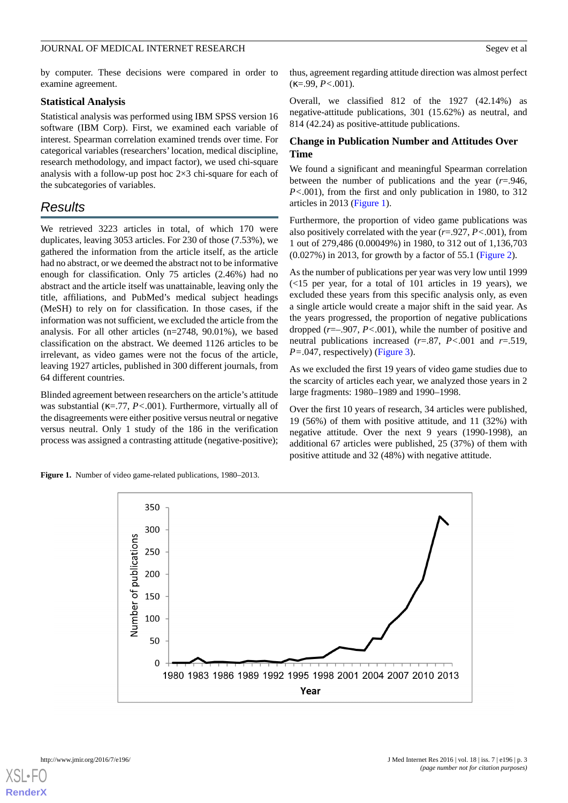#### JOURNAL OF MEDICAL INTERNET RESEARCH SEGEV ET ALL AND SEGEV ET ALL SEGEV ET ALL SEGEV ET ALL SEGEV ET ALL SEGEV ET ALL SEGEV ET ALL SEGEV ET ALL SEGEV ET ALL SEGEV ET ALL SEGEV ET ALL SEGEV ET ALL SEGEV ET ALL SEGEV ET ALL

by computer. These decisions were compared in order to examine agreement.

#### **Statistical Analysis**

Statistical analysis was performed using IBM SPSS version 16 software (IBM Corp). First, we examined each variable of interest. Spearman correlation examined trends over time. For categorical variables (researchers'location, medical discipline, research methodology, and impact factor), we used chi-square analysis with a follow-up post hoc  $2\times 3$  chi-square for each of the subcategories of variables.

# *Results*

We retrieved 3223 articles in total, of which 170 were duplicates, leaving 3053 articles. For 230 of those (7.53%), we gathered the information from the article itself, as the article had no abstract, or we deemed the abstract not to be informative enough for classification. Only 75 articles (2.46%) had no abstract and the article itself was unattainable, leaving only the title, affiliations, and PubMed's medical subject headings (MeSH) to rely on for classification. In those cases, if the information was not sufficient, we excluded the article from the analysis. For all other articles (n=2748, 90.01%), we based classification on the abstract. We deemed 1126 articles to be irrelevant, as video games were not the focus of the article, leaving 1927 articles, published in 300 different journals, from 64 different countries.

<span id="page-2-0"></span>Blinded agreement between researchers on the article's attitude was substantial (κ=.77, *P<*.001). Furthermore, virtually all of the disagreements were either positive versus neutral or negative versus neutral. Only 1 study of the 186 in the verification process was assigned a contrasting attitude (negative-positive);

**Figure 1.** Number of video game-related publications, 1980–2013.

thus, agreement regarding attitude direction was almost perfect (κ=.99, *P<*.001).

Overall, we classified 812 of the 1927 (42.14%) as negative-attitude publications, 301 (15.62%) as neutral, and 814 (42.24) as positive-attitude publications.

# **Change in Publication Number and Attitudes Over Time**

We found a significant and meaningful Spearman correlation between the number of publications and the year (*r*=.946, *P<*.001), from the first and only publication in 1980, to 312 articles in 2013 [\(Figure 1\)](#page-2-0).

Furthermore, the proportion of video game publications was also positively correlated with the year (*r*=.927, *P<*.001), from 1 out of 279,486 (0.00049%) in 1980, to 312 out of 1,136,703 (0.027%) in 2013, for growth by a factor of 55.1 ([Figure 2\)](#page-3-0).

As the number of publications per year was very low until 1999 (<15 per year, for a total of 101 articles in 19 years), we excluded these years from this specific analysis only, as even a single article would create a major shift in the said year. As the years progressed, the proportion of negative publications dropped (*r*=–.907, *P<*.001), while the number of positive and neutral publications increased (*r*=.87, *P<*.001 and *r*=.519, *P*=.047, respectively) [\(Figure 3\)](#page-3-1).

As we excluded the first 19 years of video game studies due to the scarcity of articles each year, we analyzed those years in 2 large fragments: 1980–1989 and 1990–1998.

Over the first 10 years of research, 34 articles were published, 19 (56%) of them with positive attitude, and 11 (32%) with negative attitude. Over the next 9 years (1990-1998), an additional 67 articles were published, 25 (37%) of them with positive attitude and 32 (48%) with negative attitude.



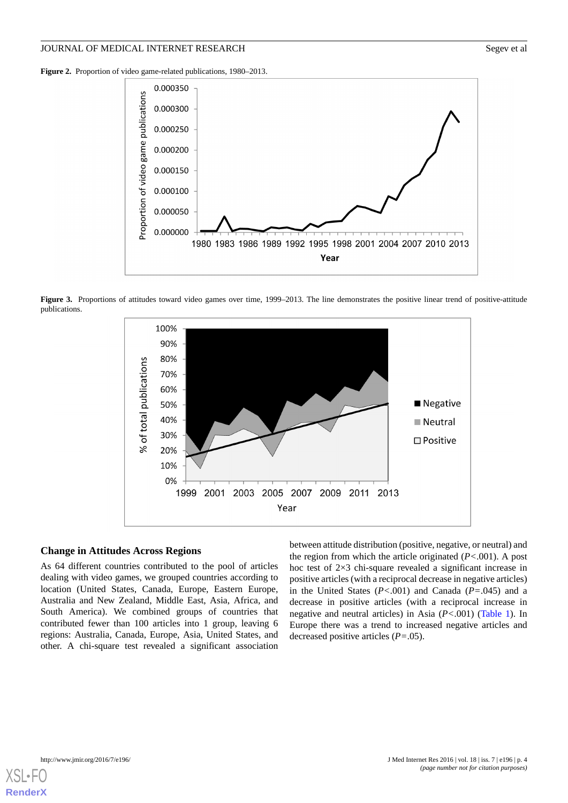<span id="page-3-0"></span>**Figure 2.** Proportion of video game-related publications, 1980–2013.



<span id="page-3-1"></span>Figure 3. Proportions of attitudes toward video games over time, 1999–2013. The line demonstrates the positive linear trend of positive-attitude publications.



#### **Change in Attitudes Across Regions**

As 64 different countries contributed to the pool of articles dealing with video games, we grouped countries according to location (United States, Canada, Europe, Eastern Europe, Australia and New Zealand, Middle East, Asia, Africa, and South America). We combined groups of countries that contributed fewer than 100 articles into 1 group, leaving 6 regions: Australia, Canada, Europe, Asia, United States, and other. A chi-square test revealed a significant association

between attitude distribution (positive, negative, or neutral) and the region from which the article originated (*P<*.001). A post hoc test of 2×3 chi-square revealed a significant increase in positive articles (with a reciprocal decrease in negative articles) in the United States (*P<*.001) and Canada (*P=*.045) and a decrease in positive articles (with a reciprocal increase in negative and neutral articles) in Asia (*P<*.001) [\(Table 1\)](#page-4-0). In Europe there was a trend to increased negative articles and decreased positive articles (*P=*.05).

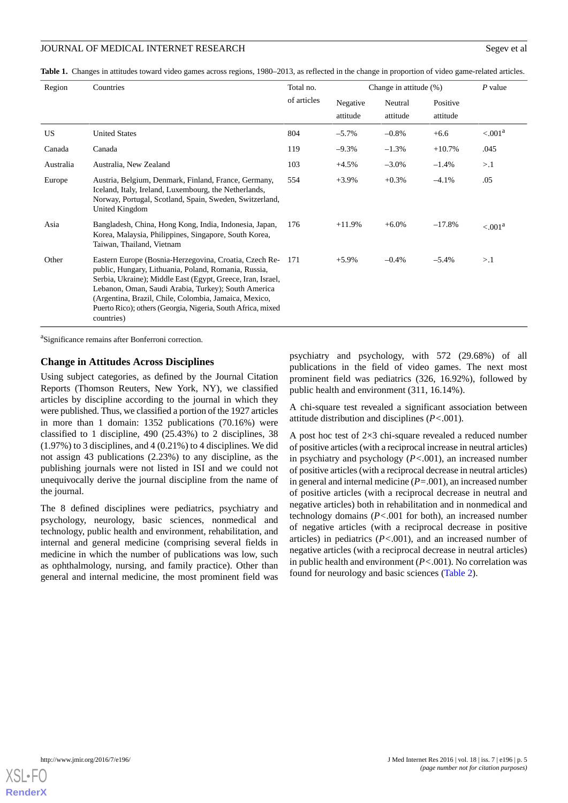<span id="page-4-0"></span>**Table 1.** Changes in attitudes toward video games across regions, 1980–2013, as reflected in the change in proportion of video game-related articles.

| Region    | Countries                                                                                                                                                                                                                                                                                                                                                                      | Total no.   | Change in attitude (%) |                     |                      | $P$ value           |
|-----------|--------------------------------------------------------------------------------------------------------------------------------------------------------------------------------------------------------------------------------------------------------------------------------------------------------------------------------------------------------------------------------|-------------|------------------------|---------------------|----------------------|---------------------|
|           |                                                                                                                                                                                                                                                                                                                                                                                | of articles | Negative<br>attitude   | Neutral<br>attitude | Positive<br>attitude |                     |
| <b>US</b> | <b>United States</b>                                                                                                                                                                                                                                                                                                                                                           | 804         | $-5.7\%$               | $-0.8%$             | $+6.6$               | < 0.01 <sup>a</sup> |
| Canada    | Canada                                                                                                                                                                                                                                                                                                                                                                         | 119         | $-9.3%$                | $-1.3%$             | $+10.7%$             | .045                |
| Australia | Australia. New Zealand                                                                                                                                                                                                                                                                                                                                                         | 103         | $+4.5%$                | $-3.0\%$            | $-1.4%$              | >1                  |
| Europe    | Austria, Belgium, Denmark, Finland, France, Germany,<br>Iceland, Italy, Ireland, Luxembourg, the Netherlands,<br>Norway, Portugal, Scotland, Spain, Sweden, Switzerland,<br>United Kingdom                                                                                                                                                                                     | 554         | $+3.9\%$               | $+0.3%$             | $-4.1%$              | .05                 |
| Asia      | Bangladesh, China, Hong Kong, India, Indonesia, Japan,<br>Korea, Malaysia, Philippines, Singapore, South Korea,<br>Taiwan, Thailand, Vietnam                                                                                                                                                                                                                                   | 176         | $+11.9%$               | $+6.0\%$            | $-17.8%$             | $\leq 0.01^a$       |
| Other     | Eastern Europe (Bosnia-Herzegovina, Croatia, Czech Re- 171<br>public, Hungary, Lithuania, Poland, Romania, Russia,<br>Serbia, Ukraine); Middle East (Egypt, Greece, Iran, Israel,<br>Lebanon, Oman, Saudi Arabia, Turkey); South America<br>(Argentina, Brazil, Chile, Colombia, Jamaica, Mexico,<br>Puerto Rico); others (Georgia, Nigeria, South Africa, mixed<br>countries) |             | $+5.9\%$               | $-0.4%$             | $-5.4%$              | >1                  |

<sup>a</sup>Significance remains after Bonferroni correction.

#### **Change in Attitudes Across Disciplines**

Using subject categories, as defined by the Journal Citation Reports (Thomson Reuters, New York, NY), we classified articles by discipline according to the journal in which they were published. Thus, we classified a portion of the 1927 articles in more than 1 domain: 1352 publications (70.16%) were classified to 1 discipline, 490 (25.43%) to 2 disciplines, 38 (1.97%) to 3 disciplines, and 4 (0.21%) to 4 disciplines. We did not assign 43 publications (2.23%) to any discipline, as the publishing journals were not listed in ISI and we could not unequivocally derive the journal discipline from the name of the journal.

The 8 defined disciplines were pediatrics, psychiatry and psychology, neurology, basic sciences, nonmedical and technology, public health and environment, rehabilitation, and internal and general medicine (comprising several fields in medicine in which the number of publications was low, such as ophthalmology, nursing, and family practice). Other than general and internal medicine, the most prominent field was

psychiatry and psychology, with 572 (29.68%) of all publications in the field of video games. The next most prominent field was pediatrics (326, 16.92%), followed by public health and environment (311, 16.14%).

A chi-square test revealed a significant association between attitude distribution and disciplines (*P<*.001).

A post hoc test of 2×3 chi-square revealed a reduced number of positive articles (with a reciprocal increase in neutral articles) in psychiatry and psychology (*P<*.001), an increased number of positive articles (with a reciprocal decrease in neutral articles) in general and internal medicine (*P=*.001), an increased number of positive articles (with a reciprocal decrease in neutral and negative articles) both in rehabilitation and in nonmedical and technology domains (*P<*.001 for both), an increased number of negative articles (with a reciprocal decrease in positive articles) in pediatrics (*P<*.001), and an increased number of negative articles (with a reciprocal decrease in neutral articles) in public health and environment (*P<*.001). No correlation was found for neurology and basic sciences ([Table 2](#page-5-0)).

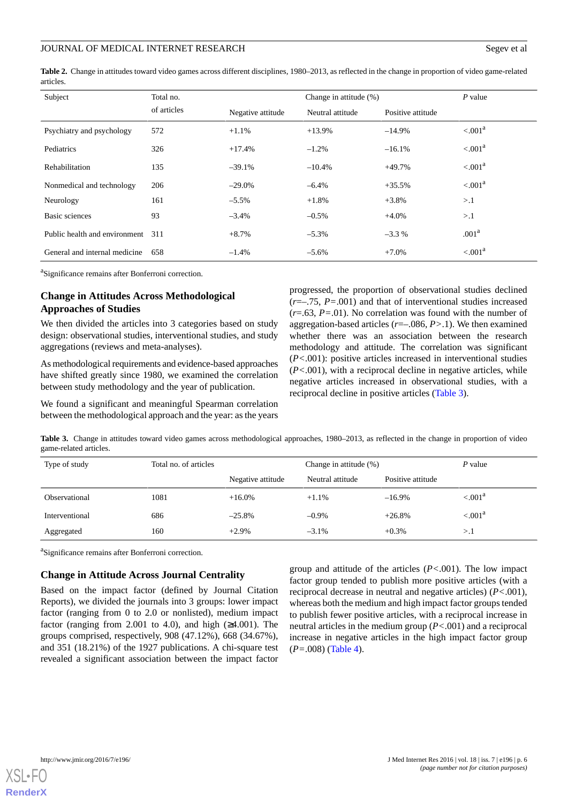<span id="page-5-0"></span>**Table 2.** Change in attitudes toward video games across different disciplines, 1980–2013, as reflected in the change in proportion of video game-related articles.

| Subject                       | Total no.   |                   | P value          |                   |                     |  |
|-------------------------------|-------------|-------------------|------------------|-------------------|---------------------|--|
|                               | of articles | Negative attitude | Neutral attitude | Positive attitude |                     |  |
| Psychiatry and psychology     | 572         | $+1.1%$           | $+13.9%$         | $-14.9%$          | < .001 <sup>a</sup> |  |
| Pediatrics                    | 326         | $+17.4%$          | $-1.2%$          | $-16.1%$          | $\leq 0.01^a$       |  |
| <b>Rehabilitation</b>         | 135         | $-39.1%$          | $-10.4%$         | $+49.7%$          | $\leq 0.01^a$       |  |
| Nonmedical and technology     | 206         | $-29.0\%$         | $-6.4%$          | $+35.5%$          | $\leq 0.01^a$       |  |
| Neurology                     | 161         | $-5.5\%$          | $+1.8%$          | $+3.8%$           | >1                  |  |
| Basic sciences                | 93          | $-3.4%$           | $-0.5%$          | $+4.0%$           | >1                  |  |
| Public health and environment | 311         | $+8.7%$           | $-5.3\%$         | $-3.3\%$          | .001 <sup>a</sup>   |  |
| General and internal medicine | 658         | $-1.4%$           | $-5.6\%$         | $+7.0%$           | $\leq 0.01^a$       |  |

<sup>a</sup>Significance remains after Bonferroni correction.

# **Change in Attitudes Across Methodological Approaches of Studies**

We then divided the articles into 3 categories based on study design: observational studies, interventional studies, and study aggregations (reviews and meta-analyses).

As methodological requirements and evidence-based approaches have shifted greatly since 1980, we examined the correlation between study methodology and the year of publication.

<span id="page-5-1"></span>We found a significant and meaningful Spearman correlation between the methodological approach and the year: as the years progressed, the proportion of observational studies declined (*r*=–.75, *P=*.001) and that of interventional studies increased (*r*=.63, *P=*.01). No correlation was found with the number of aggregation-based articles (*r*=–.086, *P>*.1). We then examined whether there was an association between the research methodology and attitude. The correlation was significant (*P<*.001): positive articles increased in interventional studies (*P<*.001), with a reciprocal decline in negative articles, while negative articles increased in observational studies, with a reciprocal decline in positive articles [\(Table 3\)](#page-5-1).

**Table 3.** Change in attitudes toward video games across methodological approaches, 1980–2013, as reflected in the change in proportion of video game-related articles.

| Type of study  | Total no. of articles |                   | Change in attitude $(\% )$ |                   | P value     |
|----------------|-----------------------|-------------------|----------------------------|-------------------|-------------|
|                |                       | Negative attitude | Neutral attitude           | Positive attitude |             |
| Observational  | 1081                  | $+16.0\%$         | $+1.1\%$                   | $-16.9\%$         | $< 0.001^a$ |
| Interventional | 686                   | $-25.8%$          | $-0.9\%$                   | $+26.8%$          | $< 0.001^a$ |
| Aggregated     | 160                   | $+2.9%$           | $-3.1%$                    | $+0.3%$           | >1          |

<sup>a</sup>Significance remains after Bonferroni correction.

#### **Change in Attitude Across Journal Centrality**

Based on the impact factor (defined by Journal Citation Reports), we divided the journals into 3 groups: lower impact factor (ranging from 0 to 2.0 or nonlisted), medium impact factor (ranging from 2.001 to 4.0), and high  $(\geq 4.001)$ . The groups comprised, respectively, 908 (47.12%), 668 (34.67%), and 351 (18.21%) of the 1927 publications. A chi-square test revealed a significant association between the impact factor group and attitude of the articles (*P<*.001). The low impact factor group tended to publish more positive articles (with a reciprocal decrease in neutral and negative articles) (*P<*.001), whereas both the medium and high impact factor groups tended to publish fewer positive articles, with a reciprocal increase in neutral articles in the medium group (*P<*.001) and a reciprocal increase in negative articles in the high impact factor group (*P=*.008) [\(Table 4\)](#page-6-0).

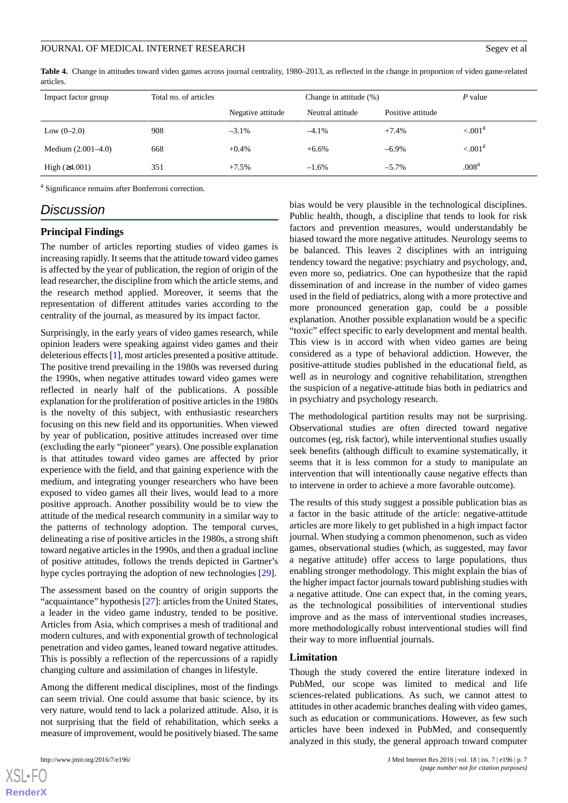#### JOURNAL OF MEDICAL INTERNET RESEARCH SEGEV ET ALL AND SEGEV ET ALL SEGEV ET ALL SEGEV ET ALL SEGEV ET ALL SEGEV ET ALL SEGEV ET ALL SEGEV ET ALL SEGEV ET ALL SEGEV ET ALL SEGEV ET ALL SEGEV ET ALL SEGEV ET ALL SEGEV ET ALL

<span id="page-6-0"></span>**Table 4.** Change in attitudes toward video games across journal centrality, 1980–2013, as reflected in the change in proportion of video game-related articles.

| Impact factor group  | Total no. of articles |                   | Change in attitude (%) |                   | P value           |
|----------------------|-----------------------|-------------------|------------------------|-------------------|-------------------|
|                      |                       | Negative attitude | Neutral attitude       | Positive attitude |                   |
| Low $(0-2.0)$        | 908                   | $-3.1\%$          | $-4.1\%$               | $+7.4%$           | $\leq 0.01^a$     |
| Medium $(2.001-4.0)$ | 668                   | $+0.4%$           | $+6.6%$                | $-6.9\%$          | $\leq 0.01^a$     |
| High $(≥4.001)$      | 351                   | $+7.5%$           | $-1.6\%$               | $-5.7\%$          | .008 <sup>a</sup> |

<sup>a</sup> Significance remains after Bonferroni correction.

# *Discussion*

#### **Principal Findings**

The number of articles reporting studies of video games is increasing rapidly. It seems that the attitude toward video games is affected by the year of publication, the region of origin of the lead researcher, the discipline from which the article stems, and the research method applied. Moreover, it seems that the representation of different attitudes varies according to the centrality of the journal, as measured by its impact factor.

Surprisingly, in the early years of video games research, while opinion leaders were speaking against video games and their deleterious effects [\[1](#page-7-0)], most articles presented a positive attitude. The positive trend prevailing in the 1980s was reversed during the 1990s, when negative attitudes toward video games were reflected in nearly half of the publications. A possible explanation for the proliferation of positive articles in the 1980s is the novelty of this subject, with enthusiastic researchers focusing on this new field and its opportunities. When viewed by year of publication, positive attitudes increased over time (excluding the early "pioneer" years). One possible explanation is that attitudes toward video games are affected by prior experience with the field, and that gaining experience with the medium, and integrating younger researchers who have been exposed to video games all their lives, would lead to a more positive approach. Another possibility would be to view the attitude of the medical research community in a similar way to the patterns of technology adoption. The temporal curves, delineating a rise of positive articles in the 1980s, a strong shift toward negative articles in the 1990s, and then a gradual incline of positive attitudes, follows the trends depicted in Gartner's hype cycles portraying the adoption of new technologies [\[29](#page-8-13)].

The assessment based on the country of origin supports the "acquaintance" hypothesis [[27\]](#page-8-11): articles from the United States, a leader in the video game industry, tended to be positive. Articles from Asia, which comprises a mesh of traditional and modern cultures, and with exponential growth of technological penetration and video games, leaned toward negative attitudes. This is possibly a reflection of the repercussions of a rapidly changing culture and assimilation of changes in lifestyle.

Among the different medical disciplines, most of the findings can seem trivial. One could assume that basic science, by its very nature, would tend to lack a polarized attitude. Also, it is not surprising that the field of rehabilitation, which seeks a measure of improvement, would be positively biased. The same

 $XS$  • FO **[RenderX](http://www.renderx.com/)** bias would be very plausible in the technological disciplines. Public health, though, a discipline that tends to look for risk factors and prevention measures, would understandably be biased toward the more negative attitudes. Neurology seems to be balanced. This leaves 2 disciplines with an intriguing tendency toward the negative: psychiatry and psychology, and, even more so, pediatrics. One can hypothesize that the rapid dissemination of and increase in the number of video games used in the field of pediatrics, along with a more protective and more pronounced generation gap, could be a possible explanation. Another possible explanation would be a specific "toxic" effect specific to early development and mental health. This view is in accord with when video games are being considered as a type of behavioral addiction. However, the positive-attitude studies published in the educational field, as well as in neurology and cognitive rehabilitation, strengthen the suspicion of a negative-attitude bias both in pediatrics and in psychiatry and psychology research.

The methodological partition results may not be surprising. Observational studies are often directed toward negative outcomes (eg, risk factor), while interventional studies usually seek benefits (although difficult to examine systematically, it seems that it is less common for a study to manipulate an intervention that will intentionally cause negative effects than to intervene in order to achieve a more favorable outcome).

The results of this study suggest a possible publication bias as a factor in the basic attitude of the article: negative-attitude articles are more likely to get published in a high impact factor journal. When studying a common phenomenon, such as video games, observational studies (which, as suggested, may favor a negative attitude) offer access to large populations, thus enabling stronger methodology. This might explain the bias of the higher impact factor journals toward publishing studies with a negative attitude. One can expect that, in the coming years, as the technological possibilities of interventional studies improve and as the mass of interventional studies increases, more methodologically robust interventional studies will find their way to more influential journals.

#### **Limitation**

Though the study covered the entire literature indexed in PubMed, our scope was limited to medical and life sciences-related publications. As such, we cannot attest to attitudes in other academic branches dealing with video games, such as education or communications. However, as few such articles have been indexed in PubMed, and consequently analyzed in this study, the general approach toward computer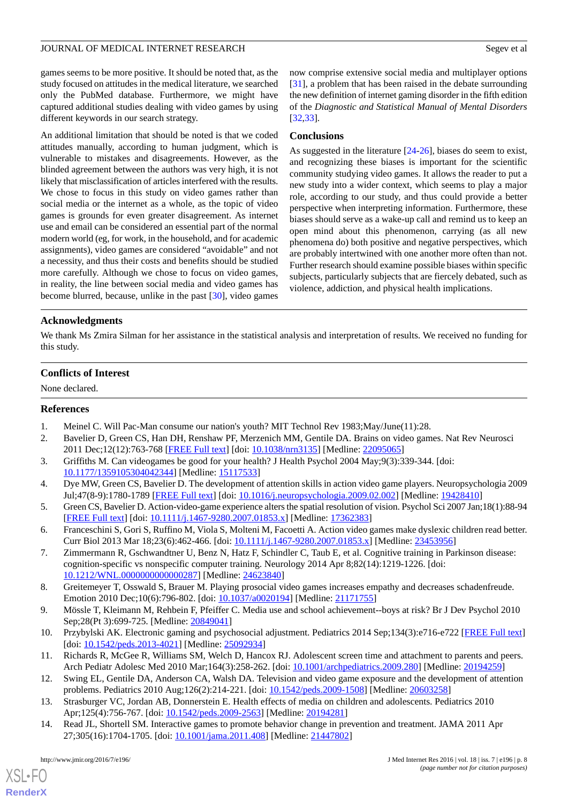games seems to be more positive. It should be noted that, as the study focused on attitudes in the medical literature, we searched only the PubMed database. Furthermore, we might have captured additional studies dealing with video games by using different keywords in our search strategy.

An additional limitation that should be noted is that we coded attitudes manually, according to human judgment, which is vulnerable to mistakes and disagreements. However, as the blinded agreement between the authors was very high, it is not likely that misclassification of articles interfered with the results. We chose to focus in this study on video games rather than social media or the internet as a whole, as the topic of video games is grounds for even greater disagreement. As internet use and email can be considered an essential part of the normal modern world (eg, for work, in the household, and for academic assignments), video games are considered "avoidable" and not a necessity, and thus their costs and benefits should be studied more carefully. Although we chose to focus on video games, in reality, the line between social media and video games has become blurred, because, unlike in the past [[30\]](#page-8-14), video games

now comprise extensive social media and multiplayer options [[31\]](#page-8-15), a problem that has been raised in the debate surrounding the new definition of internet gaming disorder in the fifth edition of the *Diagnostic and Statistical Manual of Mental Disorders* [[32,](#page-8-16)[33\]](#page-8-17).

### **Conclusions**

As suggested in the literature [[24-](#page-8-9)[26\]](#page-8-10), biases do seem to exist, and recognizing these biases is important for the scientific community studying video games. It allows the reader to put a new study into a wider context, which seems to play a major role, according to our study, and thus could provide a better perspective when interpreting information. Furthermore, these biases should serve as a wake-up call and remind us to keep an open mind about this phenomenon, carrying (as all new phenomena do) both positive and negative perspectives, which are probably intertwined with one another more often than not. Further research should examine possible biases within specific subjects, particularly subjects that are fiercely debated, such as violence, addiction, and physical health implications.

# **Acknowledgments**

We thank Ms Zmira Silman for her assistance in the statistical analysis and interpretation of results. We received no funding for this study.

# **Conflicts of Interest**

<span id="page-7-1"></span><span id="page-7-0"></span>None declared.

# <span id="page-7-2"></span>**References**

- 1. Meinel C. Will Pac-Man consume our nation's youth? MIT Technol Rev 1983;May/June(11):28.
- <span id="page-7-3"></span>2. Bavelier D, Green CS, Han DH, Renshaw PF, Merzenich MM, Gentile DA. Brains on video games. Nat Rev Neurosci 2011 Dec;12(12):763-768 [\[FREE Full text\]](http://europepmc.org/abstract/MED/22095065) [doi: [10.1038/nrn3135\]](http://dx.doi.org/10.1038/nrn3135) [Medline: [22095065](http://www.ncbi.nlm.nih.gov/entrez/query.fcgi?cmd=Retrieve&db=PubMed&list_uids=22095065&dopt=Abstract)]
- <span id="page-7-4"></span>3. Griffiths M. Can videogames be good for your health? J Health Psychol 2004 May;9(3):339-344. [doi: [10.1177/1359105304042344\]](http://dx.doi.org/10.1177/1359105304042344) [Medline: [15117533\]](http://www.ncbi.nlm.nih.gov/entrez/query.fcgi?cmd=Retrieve&db=PubMed&list_uids=15117533&dopt=Abstract)
- <span id="page-7-5"></span>4. Dye MW, Green CS, Bavelier D. The development of attention skills in action video game players. Neuropsychologia 2009 Jul;47(8-9):1780-1789 [[FREE Full text](http://europepmc.org/abstract/MED/19428410)] [doi: [10.1016/j.neuropsychologia.2009.02.002\]](http://dx.doi.org/10.1016/j.neuropsychologia.2009.02.002) [Medline: [19428410](http://www.ncbi.nlm.nih.gov/entrez/query.fcgi?cmd=Retrieve&db=PubMed&list_uids=19428410&dopt=Abstract)]
- <span id="page-7-6"></span>5. Green CS, Bavelier D. Action-video-game experience alters the spatial resolution of vision. Psychol Sci 2007 Jan;18(1):88-94 [[FREE Full text](http://europepmc.org/abstract/MED/17362383)] [doi: [10.1111/j.1467-9280.2007.01853.x\]](http://dx.doi.org/10.1111/j.1467-9280.2007.01853.x) [Medline: [17362383\]](http://www.ncbi.nlm.nih.gov/entrez/query.fcgi?cmd=Retrieve&db=PubMed&list_uids=17362383&dopt=Abstract)
- <span id="page-7-7"></span>6. Franceschini S, Gori S, Ruffino M, Viola S, Molteni M, Facoetti A. Action video games make dyslexic children read better. Curr Biol 2013 Mar 18;23(6):462-466. [doi: [10.1111/j.1467-9280.2007.01853.x](http://dx.doi.org/10.1111/j.1467-9280.2007.01853.x)] [Medline: [23453956\]](http://www.ncbi.nlm.nih.gov/entrez/query.fcgi?cmd=Retrieve&db=PubMed&list_uids=23453956&dopt=Abstract)
- <span id="page-7-8"></span>7. Zimmermann R, Gschwandtner U, Benz N, Hatz F, Schindler C, Taub E, et al. Cognitive training in Parkinson disease: cognition-specific vs nonspecific computer training. Neurology 2014 Apr 8;82(14):1219-1226. [doi: [10.1212/WNL.0000000000000287](http://dx.doi.org/10.1212/WNL.0000000000000287)] [Medline: [24623840\]](http://www.ncbi.nlm.nih.gov/entrez/query.fcgi?cmd=Retrieve&db=PubMed&list_uids=24623840&dopt=Abstract)
- <span id="page-7-9"></span>8. Greitemeyer T, Osswald S, Brauer M. Playing prosocial video games increases empathy and decreases schadenfreude. Emotion 2010 Dec;10(6):796-802. [doi: [10.1037/a0020194\]](http://dx.doi.org/10.1037/a0020194) [Medline: [21171755\]](http://www.ncbi.nlm.nih.gov/entrez/query.fcgi?cmd=Retrieve&db=PubMed&list_uids=21171755&dopt=Abstract)
- <span id="page-7-10"></span>9. Mössle T, Kleimann M, Rehbein F, Pfeiffer C. Media use and school achievement--boys at risk? Br J Dev Psychol 2010 Sep;28(Pt 3):699-725. [Medline: [20849041\]](http://www.ncbi.nlm.nih.gov/entrez/query.fcgi?cmd=Retrieve&db=PubMed&list_uids=20849041&dopt=Abstract)
- <span id="page-7-11"></span>10. Przybylski AK. Electronic gaming and psychosocial adjustment. Pediatrics 2014 Sep;134(3):e716-e722 [[FREE Full text](http://pediatrics.aappublications.org/cgi/pmidlookup?view=long&pmid=25092934)] [doi: [10.1542/peds.2013-4021](http://dx.doi.org/10.1542/peds.2013-4021)] [Medline: [25092934](http://www.ncbi.nlm.nih.gov/entrez/query.fcgi?cmd=Retrieve&db=PubMed&list_uids=25092934&dopt=Abstract)]
- <span id="page-7-12"></span>11. Richards R, McGee R, Williams SM, Welch D, Hancox RJ. Adolescent screen time and attachment to parents and peers. Arch Pediatr Adolesc Med 2010 Mar;164(3):258-262. [doi: [10.1001/archpediatrics.2009.280](http://dx.doi.org/10.1001/archpediatrics.2009.280)] [Medline: [20194259](http://www.ncbi.nlm.nih.gov/entrez/query.fcgi?cmd=Retrieve&db=PubMed&list_uids=20194259&dopt=Abstract)]
- 12. Swing EL, Gentile DA, Anderson CA, Walsh DA. Television and video game exposure and the development of attention problems. Pediatrics 2010 Aug;126(2):214-221. [doi: [10.1542/peds.2009-1508\]](http://dx.doi.org/10.1542/peds.2009-1508) [Medline: [20603258\]](http://www.ncbi.nlm.nih.gov/entrez/query.fcgi?cmd=Retrieve&db=PubMed&list_uids=20603258&dopt=Abstract)
- 13. Strasburger VC, Jordan AB, Donnerstein E. Health effects of media on children and adolescents. Pediatrics 2010 Apr;125(4):756-767. [doi: [10.1542/peds.2009-2563\]](http://dx.doi.org/10.1542/peds.2009-2563) [Medline: [20194281](http://www.ncbi.nlm.nih.gov/entrez/query.fcgi?cmd=Retrieve&db=PubMed&list_uids=20194281&dopt=Abstract)]
- 14. Read JL, Shortell SM. Interactive games to promote behavior change in prevention and treatment. JAMA 2011 Apr 27;305(16):1704-1705. [doi: [10.1001/jama.2011.408](http://dx.doi.org/10.1001/jama.2011.408)] [Medline: [21447802\]](http://www.ncbi.nlm.nih.gov/entrez/query.fcgi?cmd=Retrieve&db=PubMed&list_uids=21447802&dopt=Abstract)

[XSL](http://www.w3.org/Style/XSL)•FO **[RenderX](http://www.renderx.com/)**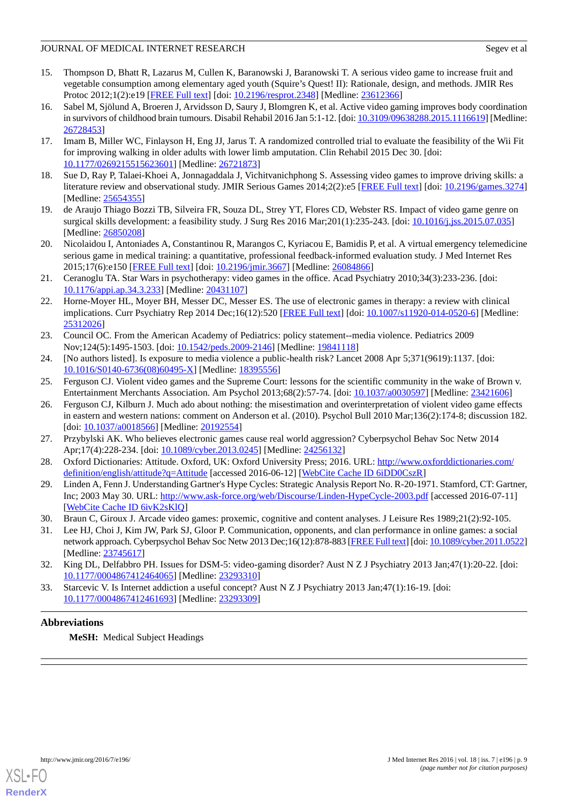- <span id="page-8-0"></span>15. Thompson D, Bhatt R, Lazarus M, Cullen K, Baranowski J, Baranowski T. A serious video game to increase fruit and vegetable consumption among elementary aged youth (Squire's Quest! II): Rationale, design, and methods. JMIR Res Protoc 2012;1(2):e19 [[FREE Full text](http://www.researchprotocols.org/2012/2/e19/)] [doi: [10.2196/resprot.2348\]](http://dx.doi.org/10.2196/resprot.2348) [Medline: [23612366\]](http://www.ncbi.nlm.nih.gov/entrez/query.fcgi?cmd=Retrieve&db=PubMed&list_uids=23612366&dopt=Abstract)
- <span id="page-8-1"></span>16. Sabel M, Sjölund A, Broeren J, Arvidsson D, Saury J, Blomgren K, et al. Active video gaming improves body coordination in survivors of childhood brain tumours. Disabil Rehabil 2016 Jan 5:1-12. [doi: [10.3109/09638288.2015.1116619\]](http://dx.doi.org/10.3109/09638288.2015.1116619) [Medline: [26728453](http://www.ncbi.nlm.nih.gov/entrez/query.fcgi?cmd=Retrieve&db=PubMed&list_uids=26728453&dopt=Abstract)]
- <span id="page-8-2"></span>17. Imam B, Miller WC, Finlayson H, Eng JJ, Jarus T. A randomized controlled trial to evaluate the feasibility of the Wii Fit for improving walking in older adults with lower limb amputation. Clin Rehabil 2015 Dec 30. [doi: [10.1177/0269215515623601\]](http://dx.doi.org/10.1177/0269215515623601) [Medline: [26721873\]](http://www.ncbi.nlm.nih.gov/entrez/query.fcgi?cmd=Retrieve&db=PubMed&list_uids=26721873&dopt=Abstract)
- <span id="page-8-4"></span><span id="page-8-3"></span>18. Sue D, Ray P, Talaei-Khoei A, Jonnagaddala J, Vichitvanichphong S. Assessing video games to improve driving skills: a literature review and observational study. JMIR Serious Games 2014;2(2):e5 [[FREE Full text](http://games.jmir.org/2014/2/e5/)] [doi: [10.2196/games.3274](http://dx.doi.org/10.2196/games.3274)] [Medline: [25654355](http://www.ncbi.nlm.nih.gov/entrez/query.fcgi?cmd=Retrieve&db=PubMed&list_uids=25654355&dopt=Abstract)]
- <span id="page-8-5"></span>19. de Araujo Thiago Bozzi TB, Silveira FR, Souza DL, Strey YT, Flores CD, Webster RS. Impact of video game genre on surgical skills development: a feasibility study. J Surg Res 2016 Mar;201(1):235-243. [doi: [10.1016/j.jss.2015.07.035\]](http://dx.doi.org/10.1016/j.jss.2015.07.035) [Medline: [26850208](http://www.ncbi.nlm.nih.gov/entrez/query.fcgi?cmd=Retrieve&db=PubMed&list_uids=26850208&dopt=Abstract)]
- <span id="page-8-6"></span>20. Nicolaidou I, Antoniades A, Constantinou R, Marangos C, Kyriacou E, Bamidis P, et al. A virtual emergency telemedicine serious game in medical training: a quantitative, professional feedback-informed evaluation study. J Med Internet Res 2015;17(6):e150 [\[FREE Full text](http://www.jmir.org/2015/6/e150/)] [doi: [10.2196/jmir.3667](http://dx.doi.org/10.2196/jmir.3667)] [Medline: [26084866](http://www.ncbi.nlm.nih.gov/entrez/query.fcgi?cmd=Retrieve&db=PubMed&list_uids=26084866&dopt=Abstract)]
- <span id="page-8-7"></span>21. Ceranoglu TA. Star Wars in psychotherapy: video games in the office. Acad Psychiatry 2010;34(3):233-236. [doi: [10.1176/appi.ap.34.3.233](http://dx.doi.org/10.1176/appi.ap.34.3.233)] [Medline: [20431107](http://www.ncbi.nlm.nih.gov/entrez/query.fcgi?cmd=Retrieve&db=PubMed&list_uids=20431107&dopt=Abstract)]
- <span id="page-8-8"></span>22. Horne-Moyer HL, Moyer BH, Messer DC, Messer ES. The use of electronic games in therapy: a review with clinical implications. Curr Psychiatry Rep 2014 Dec;16(12):520 [[FREE Full text](http://europepmc.org/abstract/MED/25312026)] [doi: [10.1007/s11920-014-0520-6\]](http://dx.doi.org/10.1007/s11920-014-0520-6) [Medline: [25312026](http://www.ncbi.nlm.nih.gov/entrez/query.fcgi?cmd=Retrieve&db=PubMed&list_uids=25312026&dopt=Abstract)]
- <span id="page-8-9"></span>23. Council OC. From the American Academy of Pediatrics: policy statement--media violence. Pediatrics 2009 Nov;124(5):1495-1503. [doi: [10.1542/peds.2009-2146\]](http://dx.doi.org/10.1542/peds.2009-2146) [Medline: [19841118\]](http://www.ncbi.nlm.nih.gov/entrez/query.fcgi?cmd=Retrieve&db=PubMed&list_uids=19841118&dopt=Abstract)
- <span id="page-8-10"></span>24. [No authors listed]. Is exposure to media violence a public-health risk? Lancet 2008 Apr 5;371(9619):1137. [doi: [10.1016/S0140-6736\(08\)60495-X\]](http://dx.doi.org/10.1016/S0140-6736(08)60495-X) [Medline: [18395556\]](http://www.ncbi.nlm.nih.gov/entrez/query.fcgi?cmd=Retrieve&db=PubMed&list_uids=18395556&dopt=Abstract)
- 25. Ferguson CJ. Violent video games and the Supreme Court: lessons for the scientific community in the wake of Brown v. Entertainment Merchants Association. Am Psychol 2013;68(2):57-74. [doi: [10.1037/a0030597\]](http://dx.doi.org/10.1037/a0030597) [Medline: [23421606\]](http://www.ncbi.nlm.nih.gov/entrez/query.fcgi?cmd=Retrieve&db=PubMed&list_uids=23421606&dopt=Abstract)
- <span id="page-8-12"></span><span id="page-8-11"></span>26. Ferguson CJ, Kilburn J. Much ado about nothing: the misestimation and overinterpretation of violent video game effects in eastern and western nations: comment on Anderson et al. (2010). Psychol Bull 2010 Mar;136(2):174-8; discussion 182. [doi: [10.1037/a0018566\]](http://dx.doi.org/10.1037/a0018566) [Medline: [20192554](http://www.ncbi.nlm.nih.gov/entrez/query.fcgi?cmd=Retrieve&db=PubMed&list_uids=20192554&dopt=Abstract)]
- <span id="page-8-13"></span>27. Przybylski AK. Who believes electronic games cause real world aggression? Cyberpsychol Behav Soc Netw 2014 Apr;17(4):228-234. [doi: [10.1089/cyber.2013.0245\]](http://dx.doi.org/10.1089/cyber.2013.0245) [Medline: [24256132\]](http://www.ncbi.nlm.nih.gov/entrez/query.fcgi?cmd=Retrieve&db=PubMed&list_uids=24256132&dopt=Abstract)
- <span id="page-8-14"></span>28. Oxford Dictionaries: Attitude. Oxford, UK: Oxford University Press; 2016. URL: [http://www.oxforddictionaries.com/](http://www.oxforddictionaries.com/definition/english/attitude?q=Attitude) [definition/english/attitude?q=Attitude](http://www.oxforddictionaries.com/definition/english/attitude?q=Attitude) [accessed 2016-06-12] [[WebCite Cache ID 6iDD0CszR](http://www.webcitation.org/

                                            6iDD0CszR)]
- <span id="page-8-15"></span>29. Linden A, Fenn J. Understanding Gartner's Hype Cycles: Strategic Analysis Report No. R-20-1971. Stamford, CT: Gartner, Inc; 2003 May 30. URL:<http://www.ask-force.org/web/Discourse/Linden-HypeCycle-2003.pdf> [accessed 2016-07-11] [[WebCite Cache ID 6ivK2sKlQ\]](http://www.webcitation.org/

                                            6ivK2sKlQ)
- <span id="page-8-16"></span>30. Braun C, Giroux J. Arcade video games: proxemic, cognitive and content analyses. J Leisure Res 1989;21(2):92-105.
- <span id="page-8-17"></span>31. Lee HJ, Choi J, Kim JW, Park SJ, Gloor P. Communication, opponents, and clan performance in online games: a social network approach. Cyberpsychol Behav Soc Netw 2013 Dec;16(12):878-883 [[FREE Full text](http://europepmc.org/abstract/MED/23745617)] [doi: [10.1089/cyber.2011.0522\]](http://dx.doi.org/10.1089/cyber.2011.0522) [Medline: [23745617](http://www.ncbi.nlm.nih.gov/entrez/query.fcgi?cmd=Retrieve&db=PubMed&list_uids=23745617&dopt=Abstract)]
- 32. King DL, Delfabbro PH. Issues for DSM-5: video-gaming disorder? Aust N Z J Psychiatry 2013 Jan;47(1):20-22. [doi: [10.1177/0004867412464065\]](http://dx.doi.org/10.1177/0004867412464065) [Medline: [23293310\]](http://www.ncbi.nlm.nih.gov/entrez/query.fcgi?cmd=Retrieve&db=PubMed&list_uids=23293310&dopt=Abstract)
- 33. Starcevic V. Is Internet addiction a useful concept? Aust N Z J Psychiatry 2013 Jan;47(1):16-19. [doi: [10.1177/0004867412461693\]](http://dx.doi.org/10.1177/0004867412461693) [Medline: [23293309\]](http://www.ncbi.nlm.nih.gov/entrez/query.fcgi?cmd=Retrieve&db=PubMed&list_uids=23293309&dopt=Abstract)

# **Abbreviations**

**MeSH:** Medical Subject Headings